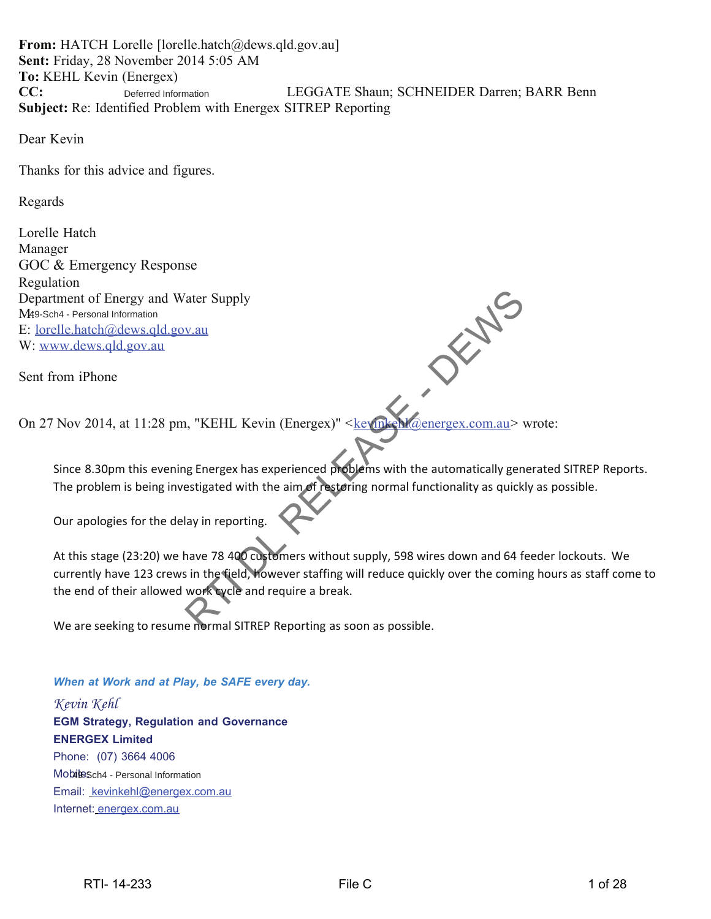**From:** HATCH Lorelle [lorelle.hatch@dews.qld.gov.au] **Sent:** Friday, 28 November 2014 5:05 AM **To:** KEHL Kevin (Energex) **CC:** LEGGATE Shaun; SCHNEIDER Darren; BARR Benn **Subject:** Re: Identified Problem with Energex SITREP Reporting Deferred Information

Dear Kevin

Thanks for this advice and figures.

Regards

Lorelle Hatch Manager GOC & Emergency Response Regulation Department of Energy and Water Supply M49-Sch4 - Personal Information E: lorelle.hatch@dews.qld.gov.au W: www.dews.qld.gov.au

Sent from iPhone

On 27 Nov 2014, at 11:28 pm, "KEHL Kevin (Energex)" <kevinkehl@energex.com.au> wrote:

Since 8.30pm this evening Energex has experienced problems with the automatically generated SITREP Reports. The problem is being investigated with the aim of restoring normal functionality as quickly as possible.

Our apologies for the delay in reporting.

At this stage (23:20) we have 78 400 customers without supply, 598 wires down and 64 feeder lockouts. We currently have 123 crews in the field, however staffing will reduce quickly over the coming hours as staff come to the end of their allowed work cycle and require a break. V.au<br>
1. "KEHL Kevin (Energex)" < key met Maenergex.com.au ><br>
1. "KEHL Kevin (Energex)" < key met Maenergex.com.au ><br>
1. "KEHL Kevin (Energex)" < key met Maenergex.com.au ><br>
1. "KEHL Kevin (Energex)" < key met Maenergex.co

We are seeking to resume normal SITREP Reporting as soon as possible.

#### *When at Work and at Play, be SAFE every day.*

*Kevin Kehl* **EGM Strategy, Regulation and Governance ENERGEX Limited** Phone: (07) 3664 4006 MobileSch4 - Personal Information Email: kevinkehl@energex.com.au Internet: energex.com.au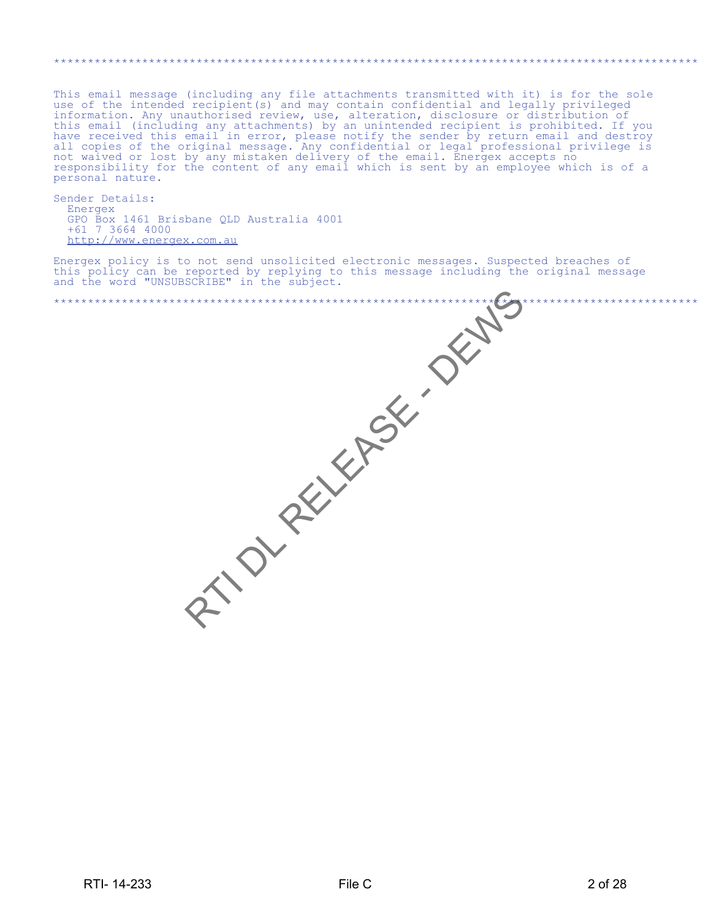#### \*\*\*\*\*\*\*\*\*\*\*\*\*\*\*\*\*\*\*\*\*\*\*\*\*\*\*\*\*\*\*\*\*\*\*\*\*\*\*\*\*\*\*\*\*\*\*\*\*\*\*\*\*\*\*\*\*\*\*\*\*\*\*\*\*\*\*\*\*\*\*\*\*\*\*\*\*\*\*\*\*\*\*\*\*\*\*\*\*\*\*\*\*\*\*

This email message (including any file attachments transmitted with it) is for the sole use of the intended recipient(s) and may contain confidential and legally privileged information. Any unauthorised review, use, alteration, disclosure or distribution of this email (including any attachments) by an unintended recipient is prohibited. If you have received this email in error, please notify the sender by return email and destroy all copies of the original message. Any confidential or legal professional privilege is not waived or lost by any mistaken delivery of the email. Energex accepts no responsibility for the content of any email which is sent by an employee which is of a personal nature.

Sender Details: Energex GPO Box 1461 Brisbane QLD Australia 4001 +61 7 3664 4000 http://www.energex.com.au

Energex policy is to not send unsolicited electronic messages. Suspected breaches of this policy can be reported by replying to this message including the original message and the word "UNSUBSCRIBE" in the subject.

|            | RTION RELEASE. OFFICE | $***$   |
|------------|-----------------------|---------|
| RTI-14-233 | File C                | 2 of 28 |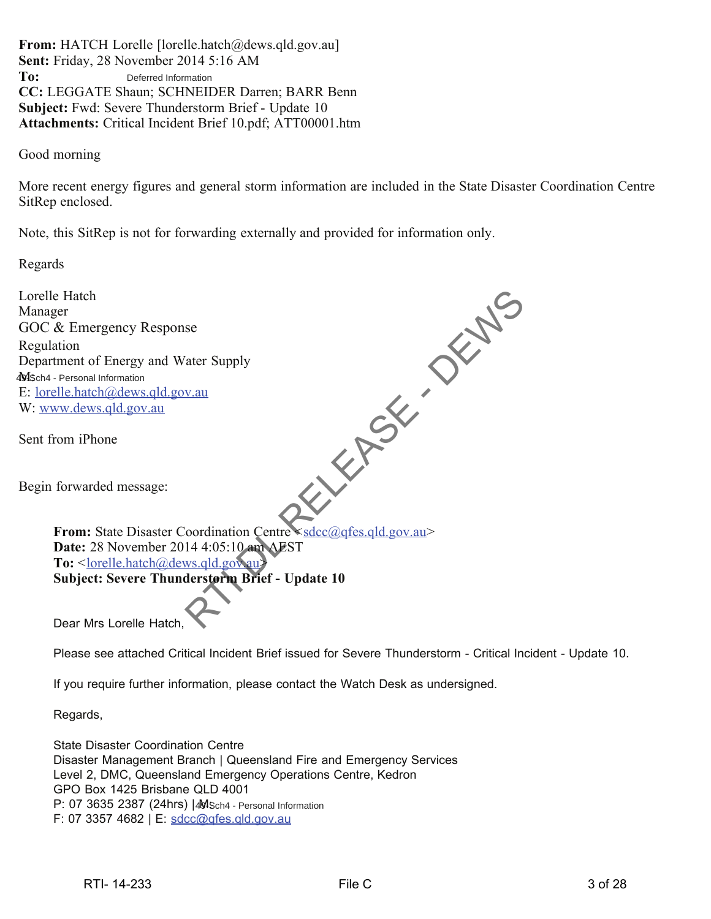**From:** HATCH Lorelle [lorelle.hatch@dews.qld.gov.au] **Sent:** Friday, 28 November 2014 5:16 AM **To: CC:** LEGGATE Shaun; SCHNEIDER Darren; BARR Benn **Subject:** Fwd: Severe Thunderstorm Brief - Update 10 **Attachments:** Critical Incident Brief 10.pdf; ATT00001.htm Deferred Information

Good morning

More recent energy figures and general storm information are included in the State Disaster Coordination Centre SitRep enclosed.

Note, this SitRep is not for forwarding externally and provided for information only.

Regards

| Lorelle Hatch                                                                                               |
|-------------------------------------------------------------------------------------------------------------|
| Manager                                                                                                     |
| GOC & Emergency Response                                                                                    |
| Regulation                                                                                                  |
| Department of Energy and Water Supply                                                                       |
| 4MSch4 - Personal Information                                                                               |
| E: <u>lorelle.hatch@dews.qld.gov.au</u>                                                                     |
| W: www.dews.qld.gov.au                                                                                      |
| Sent from iPhone                                                                                            |
| Begin forwarded message:                                                                                    |
| From: State Disaster Coordination Centre <sdcc@gfes.gld.gov.au></sdcc@gfes.gld.gov.au>                      |
| Date: 28 November 2014 4:05:10 am AEST                                                                      |
| To: <lorelle.hatch@dews.qld.gov.au></lorelle.hatch@dews.qld.gov.au>                                         |
| Subject: Severe Thunderstorm Brief - Update 10                                                              |
| Dear Mrs Lorelle Hatch,                                                                                     |
| Please see attached Critical Incident Brief issued for Severe Thunderstorm - Critical Incident - Update 10. |

If you require further information, please contact the Watch Desk as undersigned.

Regards,

State Disaster Coordination Centre Disaster Management Branch | Queensland Fire and Emergency Services Level 2, DMC, Queensland Emergency Operations Centre, Kedron GPO Box 1425 Brisbane QLD 4001 P: 07 3635 2387 (24hrs) | MSch4 - Personal Information F: 07 3357 4682 | E: sdcc@qfes.qld.gov.au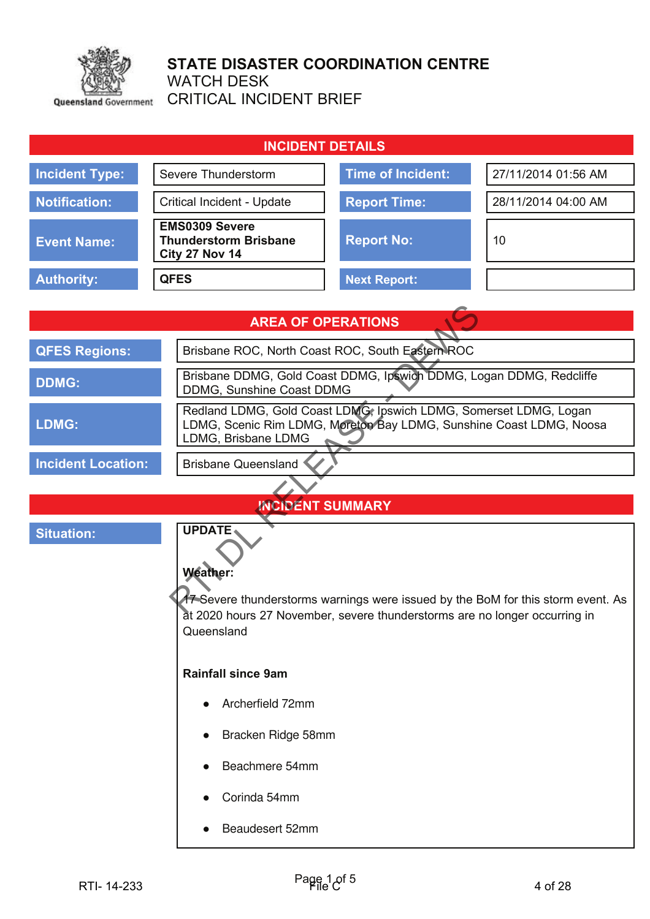

# STATE DISASTER COORDINATION CENTRE

WATCH DESK

CRITICAL INCIDENT BRIEF

| <b>INCIDENT DETAILS</b>                                                                                                                                                                                                                                            |                                                                                                                                                                 |                                                                     |                     |  |
|--------------------------------------------------------------------------------------------------------------------------------------------------------------------------------------------------------------------------------------------------------------------|-----------------------------------------------------------------------------------------------------------------------------------------------------------------|---------------------------------------------------------------------|---------------------|--|
| <b>Incident Type:</b>                                                                                                                                                                                                                                              | Severe Thunderstorm                                                                                                                                             | <b>Time of Incident:</b>                                            | 27/11/2014 01:56 AM |  |
| <b>Notification:</b>                                                                                                                                                                                                                                               | Critical Incident - Update                                                                                                                                      | <b>Report Time:</b>                                                 | 28/11/2014 04:00 AM |  |
| <b>Event Name:</b>                                                                                                                                                                                                                                                 | <b>EMS0309 Severe</b><br><b>Thunderstorm Brisbane</b><br>City 27 Nov 14                                                                                         | <b>Report No:</b>                                                   | 10                  |  |
| <b>Authority:</b>                                                                                                                                                                                                                                                  | <b>QFES</b>                                                                                                                                                     | <b>Next Report:</b>                                                 |                     |  |
|                                                                                                                                                                                                                                                                    |                                                                                                                                                                 |                                                                     |                     |  |
|                                                                                                                                                                                                                                                                    |                                                                                                                                                                 | <b>AREA OF OPERATIONS</b>                                           |                     |  |
| <b>QFES Regions:</b>                                                                                                                                                                                                                                               |                                                                                                                                                                 | Brisbane ROC, North Coast ROC, South Eastern ROC                    |                     |  |
| <b>DDMG:</b>                                                                                                                                                                                                                                                       | DDMG, Sunshine Coast DDMG                                                                                                                                       | Brisbane DDMG, Gold Coast DDMG, Ipswich DDMG, Logan DDMG, Redcliffe |                     |  |
| LDMG:                                                                                                                                                                                                                                                              | Redland LDMG, Gold Coast LDMG, Ipswich LDMG, Somerset LDMG, Logan<br>LDMG, Scenic Rim LDMG, Moreton Bay LDMG, Sunshine Coast LDMG, Noosa<br>LDMG, Brisbane LDMG |                                                                     |                     |  |
| <b>Incident Location:</b>                                                                                                                                                                                                                                          | <b>Brisbane Queensland</b>                                                                                                                                      |                                                                     |                     |  |
|                                                                                                                                                                                                                                                                    |                                                                                                                                                                 |                                                                     |                     |  |
|                                                                                                                                                                                                                                                                    |                                                                                                                                                                 | <b>INCIDENT SUMMARY</b>                                             |                     |  |
| <b>UPDATE</b><br><b>Situation:</b><br><b>Weather:</b><br>17 Severe thunderstorms warnings were issued by the BoM for this storm event. As<br>at 2020 hours 27 November, severe thunderstorms are no longer occurring in<br>Queensland<br><b>Rainfall since 9am</b> |                                                                                                                                                                 |                                                                     |                     |  |
|                                                                                                                                                                                                                                                                    | Archerfield 72mm                                                                                                                                                |                                                                     |                     |  |
| Bracken Ridge 58mm                                                                                                                                                                                                                                                 |                                                                                                                                                                 |                                                                     |                     |  |
| Beachmere 54mm                                                                                                                                                                                                                                                     |                                                                                                                                                                 |                                                                     |                     |  |
|                                                                                                                                                                                                                                                                    | Corinda 54mm                                                                                                                                                    |                                                                     |                     |  |
|                                                                                                                                                                                                                                                                    | Beaudesert 52mm                                                                                                                                                 |                                                                     |                     |  |
| RTI-14-233                                                                                                                                                                                                                                                         |                                                                                                                                                                 | Page 1 of 5                                                         | 4 of 28             |  |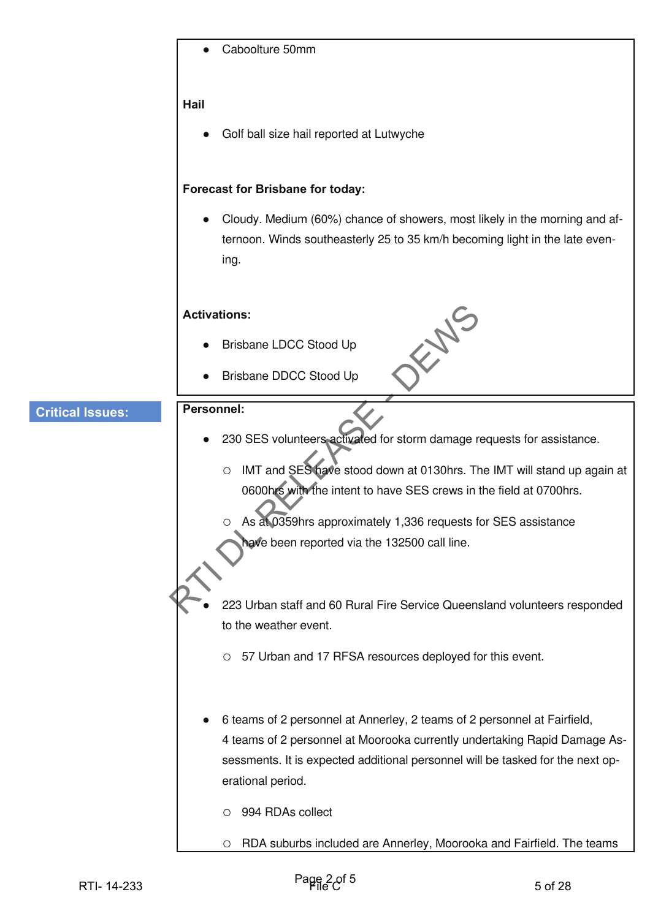|                         | Caboolture 50mm                                                                                                                                                                                                                                                                                                                                                          |         |
|-------------------------|--------------------------------------------------------------------------------------------------------------------------------------------------------------------------------------------------------------------------------------------------------------------------------------------------------------------------------------------------------------------------|---------|
|                         | Hail                                                                                                                                                                                                                                                                                                                                                                     |         |
|                         | Golf ball size hail reported at Lutwyche                                                                                                                                                                                                                                                                                                                                 |         |
|                         | <b>Forecast for Brisbane for today:</b>                                                                                                                                                                                                                                                                                                                                  |         |
|                         | Cloudy. Medium (60%) chance of showers, most likely in the morning and af-<br>ternoon. Winds southeasterly 25 to 35 km/h becoming light in the late even-<br>ing.                                                                                                                                                                                                        |         |
|                         | <b>Activations:</b>                                                                                                                                                                                                                                                                                                                                                      |         |
|                         | Brisbane LDCC Stood Up                                                                                                                                                                                                                                                                                                                                                   |         |
|                         | Brisbane DDCC Stood Up                                                                                                                                                                                                                                                                                                                                                   |         |
| <b>Critical Issues:</b> | <b>Personnel:</b>                                                                                                                                                                                                                                                                                                                                                        |         |
|                         | 230 SES volunteers activated for storm damage requests for assistance.                                                                                                                                                                                                                                                                                                   |         |
|                         | IMT and SES have stood down at 0130hrs. The IMT will stand up again at<br>$\circ$<br>0600hrs with the intent to have SES crews in the field at 0700hrs.<br>As at 0359hrs approximately 1,336 requests for SES assistance<br>have been reported via the 132500 call line.                                                                                                 |         |
|                         | 223 Urban staff and 60 Rural Fire Service Queensland volunteers responded                                                                                                                                                                                                                                                                                                |         |
|                         | to the weather event.                                                                                                                                                                                                                                                                                                                                                    |         |
|                         | 57 Urban and 17 RFSA resources deployed for this event.<br>$\circ$                                                                                                                                                                                                                                                                                                       |         |
|                         | 6 teams of 2 personnel at Annerley, 2 teams of 2 personnel at Fairfield,<br>4 teams of 2 personnel at Moorooka currently undertaking Rapid Damage As-<br>sessments. It is expected additional personnel will be tasked for the next op-<br>erational period.<br>994 RDAs collect<br>О<br>RDA suburbs included are Annerley, Moorooka and Fairfield. The teams<br>$\circ$ |         |
|                         |                                                                                                                                                                                                                                                                                                                                                                          |         |
| RTI-14-233              | $Page2$ of 5                                                                                                                                                                                                                                                                                                                                                             | 5 of 28 |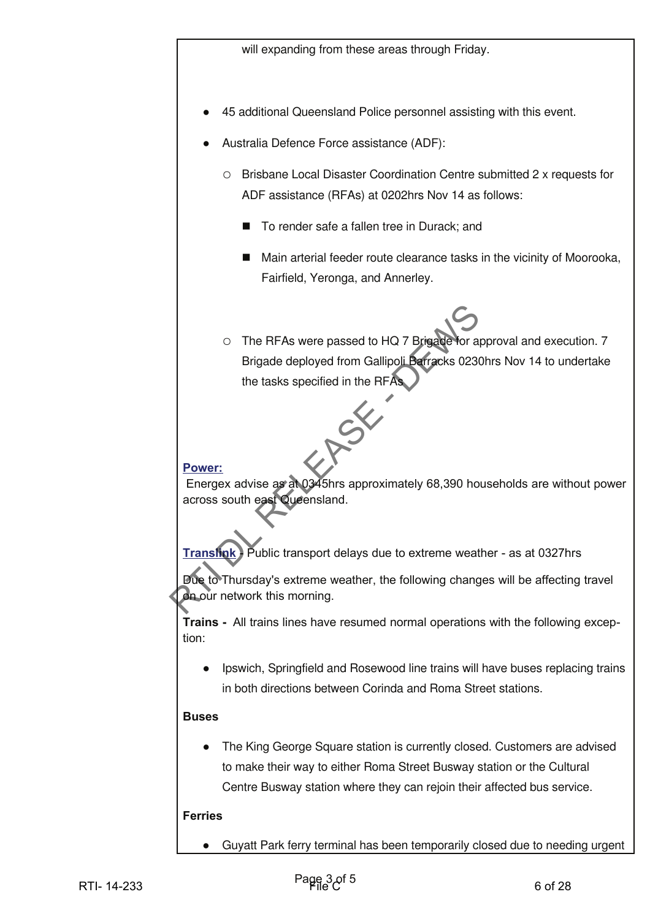- 45 additional Queensland Police personnel assisting with this event.
- Australia Defence Force assistance (ADF):
	- Brisbane Local Disaster Coordination Centre submitted 2 x requests for ADF assistance (RFAs) at 0202hrs Nov 14 as follows:
		- To render safe a fallen tree in Durack; and
		- Main arterial feeder route clearance tasks in the vicinity of Moorooka, Fairfield, Yeronga, and Annerley.
- The RFAs were passed to HQ 7 Brigade for approval and execution. 7 Brigade deployed from Gallipoli Barracks 0230hrs Nov 14 to undertake the tasks specified in the RFAs O The RFAs were passed to HQ 7 Big algebra approval and executing and exercible control control of form California Department of the tracks specified in the RFAs<br>the mass specified in the RFAs<br>Prover:<br>Energex advise a pr

#### Power:

Energex advise as at 0345hrs approximately 68,390 households are without power across south east Queensland.

**Transfink** Public transport delays due to extreme weather - as at 0327hrs

Due to Thursday's extreme weather, the following changes will be affecting travel on our network this morning.

**Trains -** All trains lines have resumed normal operations with the following exception:

 Ipswich, Springfield and Rosewood line trains will have buses replacing trains in both directions between Corinda and Roma Street stations.

## $B$ uses

• The King George Square station is currently closed. Customers are advised to make their way to either Roma Street Busway station or the Cultural Centre Busway station where they can rejoin their affected bus service.

## **Ferries**

Guyatt Park ferry terminal has been temporarily closed due to needing urgent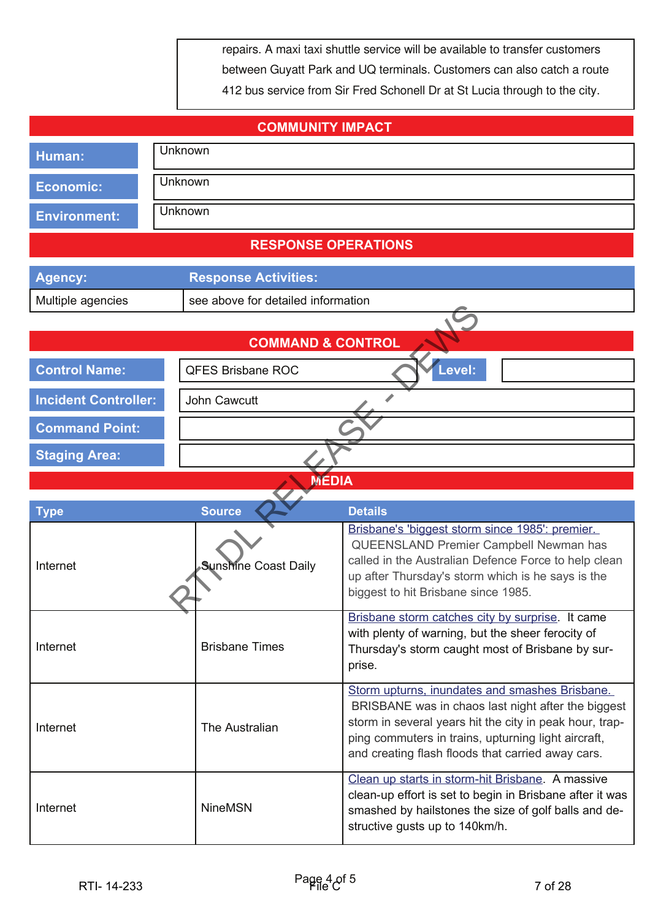repairs. A maxi taxi shuttle service will be available to transfer customers between Guyatt Park and UQ terminals. Customers can also catch a route 412 bus service from Sir Fred Schonell Dr at St Lucia through to the city.

| <b>COMMUNITY IMPACT</b>         |                                    |                                                                                                                                                                                                                                                                             |  |
|---------------------------------|------------------------------------|-----------------------------------------------------------------------------------------------------------------------------------------------------------------------------------------------------------------------------------------------------------------------------|--|
| Human:                          | Unknown                            |                                                                                                                                                                                                                                                                             |  |
| <b>Economic:</b>                | Unknown                            |                                                                                                                                                                                                                                                                             |  |
| <b>Environment:</b>             | Unknown                            |                                                                                                                                                                                                                                                                             |  |
|                                 | <b>RESPONSE OPERATIONS</b>         |                                                                                                                                                                                                                                                                             |  |
| <b>Agency:</b>                  | <b>Response Activities:</b>        |                                                                                                                                                                                                                                                                             |  |
| Multiple agencies               | see above for detailed information |                                                                                                                                                                                                                                                                             |  |
|                                 |                                    |                                                                                                                                                                                                                                                                             |  |
|                                 | <b>COMMAND &amp; CONTROL</b>       |                                                                                                                                                                                                                                                                             |  |
| <b>Control Name:</b>            | <b>QFES Brisbane ROC</b>           | Level:                                                                                                                                                                                                                                                                      |  |
| <b>Incident Controller:</b>     | John Cawcutt                       |                                                                                                                                                                                                                                                                             |  |
| <b>Command Point:</b>           |                                    |                                                                                                                                                                                                                                                                             |  |
| <b>Staging Area:</b>            |                                    |                                                                                                                                                                                                                                                                             |  |
|                                 | <b>MEDIA</b>                       |                                                                                                                                                                                                                                                                             |  |
| <b>Source</b><br><b>Details</b> |                                    |                                                                                                                                                                                                                                                                             |  |
| <b>Type</b><br>Internet         | <b>Sunshine Coast Daily</b>        | Brisbane's 'biggest storm since 1985': premier.<br>QUEENSLAND Premier Campbell Newman has<br>called in the Australian Defence Force to help clean<br>up after Thursday's storm which is he says is the<br>biggest to hit Brisbane since 1985.                               |  |
| Internet                        | <b>Brisbane Times</b>              | Brisbane storm catches city by surprise. It came<br>with plenty of warning, but the sheer ferocity of<br>Thursday's storm caught most of Brisbane by sur-<br>prise.                                                                                                         |  |
| Internet                        | The Australian                     | Storm upturns, inundates and smashes Brisbane.<br>BRISBANE was in chaos last night after the biggest<br>storm in several years hit the city in peak hour, trap-<br>ping commuters in trains, upturning light aircraft,<br>and creating flash floods that carried away cars. |  |
| Internet                        | <b>NineMSN</b>                     | Clean up starts in storm-hit Brisbane. A massive<br>clean-up effort is set to begin in Brisbane after it was<br>smashed by hailstones the size of golf balls and de-<br>structive gusts up to 140km/h.                                                                      |  |
| RTI-14-233                      | Page 4 of 5                        | 7 of 28                                                                                                                                                                                                                                                                     |  |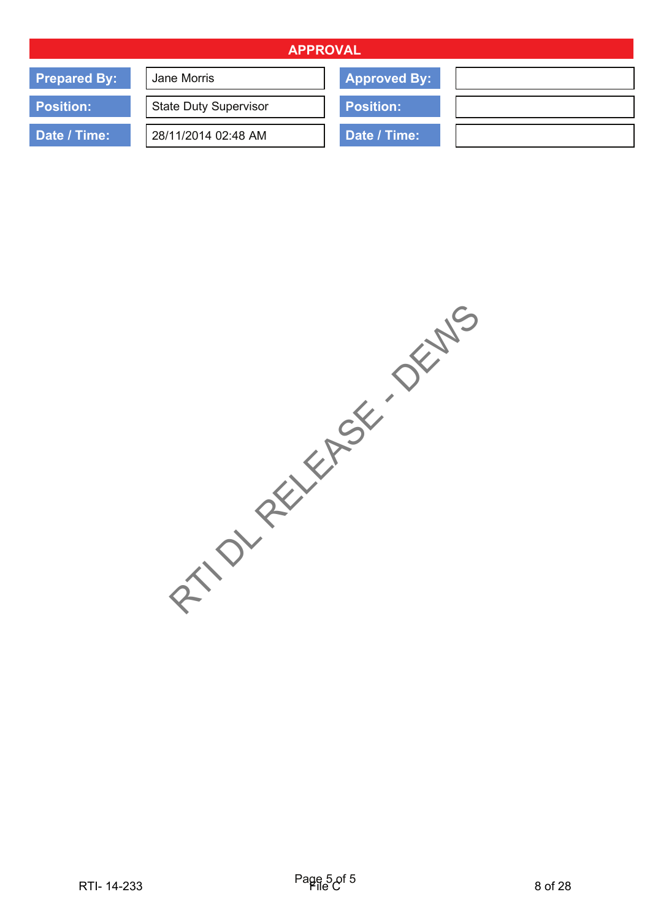| <b>APPROVAL</b>     |                              |                     |  |
|---------------------|------------------------------|---------------------|--|
| <b>Prepared By:</b> | Jane Morris                  | <b>Approved By:</b> |  |
| <b>Position:</b>    | <b>State Duty Supervisor</b> | <b>Position:</b>    |  |
| Date / Time:        | 28/11/2014 02:48 AM          | Date / Time:        |  |

RTI-14-233 Family C 8 RTM PARAGES AND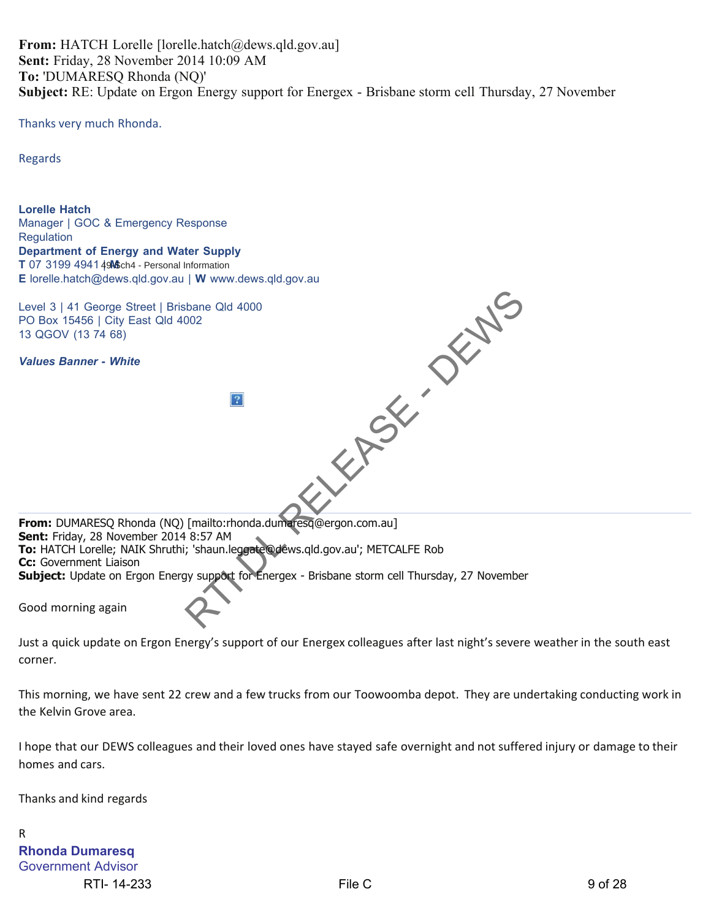**From:** HATCH Lorelle [lorelle.hatch@dews.qld.gov.au] **Sent:** Friday, 28 November 2014 10:09 AM **To:** 'DUMARESQ Rhonda (NQ)' **Subject:** RE: Update on Ergon Energy support for Energex - Brisbane storm cell Thursday, 27 November

Thanks very much Rhonda.

Regards

**Lorelle Hatch** Manager | GOC & Emergency Response **Regulation Department of Energy and Water Supply** T 07 3199 4941 49 Sch4 - Personal Information **E** lorelle.hatch@dews.qld.gov.au | **W** www.dews.qld.gov.au Level 3 | 41 George Street | Brisbane Qld 4000 PO Box 15456 | City East Qld 4002 13 QGOV (13 74 68) *Values Banner - White* **From:** DUMARESQ Rhonda (NQ) [mailto:rhonda.dumaresq@ergon.com.au] **Sent:** Friday, 28 November 2014 8:57 AM **To:** HATCH Lorelle; NAIK Shruthi; 'shaun.leggate@dews.qld.gov.au'; METCALFE Rob **Cc:** Government Liaison **Subject:** Update on Ergon Energy support for Energex - Brisbane storm cell Thursday, 27 November Good morning again RELEASE OF DEPTHS

Just a quick update on Ergon Energy's support of our Energex colleagues after last night's severe weather in the south east corner.

This morning, we have sent 22 crew and a few trucks from our Toowoomba depot. They are undertaking conducting work in the Kelvin Grove area.

I hope that our DEWS colleagues and their loved ones have stayed safe overnight and not suffered injury or damage to their homes and cars.

Thanks and kind regards

R **Rhonda Dumaresq** Government Advisor RTI-14-233 9 of 28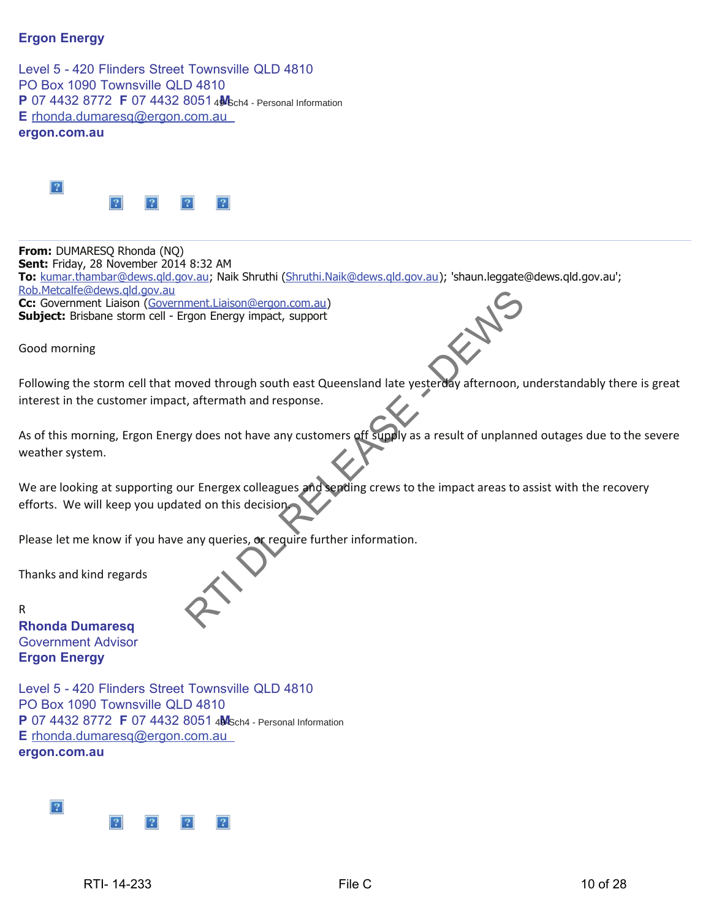## **Ergon Energy**

Level 5 - 420 Flinders Street Townsville QLD 4810 PO Box 1090 Townsville QLD 4810 **P** 07 4432 8772 **F** 07 4432 8051 4M<sub>8ch4</sub> - Personal Information **E** rhonda.dumaresq@ergon.com.au **ergon.com.au**



**From:** DUMARESQ Rhonda (NQ) **Sent:** Friday, 28 November 2014 8:32 AM **To:** kumar.thambar@dews.qld.gov.au; Naik Shruthi (Shruthi.Naik@dews.qld.gov.au); 'shaun.leggate@dews.qld.gov.au'; Rob.Metcalfe@dews.qld.gov.au **Cc:** Government Liaison (Government.Liaison@ergon.com.au) **Subject:** Brisbane storm cell - Ergon Energy impact, support ment.Liaison@ergon.com.au)<br>rgon Energy impact, support<br>oved through south east Queensland late yesterday afternoon, u<br>t, aftermath and response.<br>yy does not have any customers off supply as a result of unplanne<br>ur Energex

Good morning

Following the storm cell that moved through south east Queensland late yesterday afternoon, understandably there is great interest in the customer impact, aftermath and response.

As of this morning, Ergon Energy does not have any customers off supply as a result of unplanned outages due to the severe weather system.

We are looking at supporting our Energex colleagues and sending crews to the impact areas to assist with the recovery efforts. We will keep you updated on this decision.

Please let me know if you have any queries, or require further information.

Thanks and kind regards

R **Rhonda Dumaresq** Government Advisor **Ergon Energy**

Level 5 - 420 Flinders Street Townsville QLD 4810 PO Box 1090 Townsville QLD 4810 **P** 07 4432 8772 **F** 07 4432 8051 4MSch4 - Personal Information **E** rhonda.dumaresq@ergon.com.au **ergon.com.au**

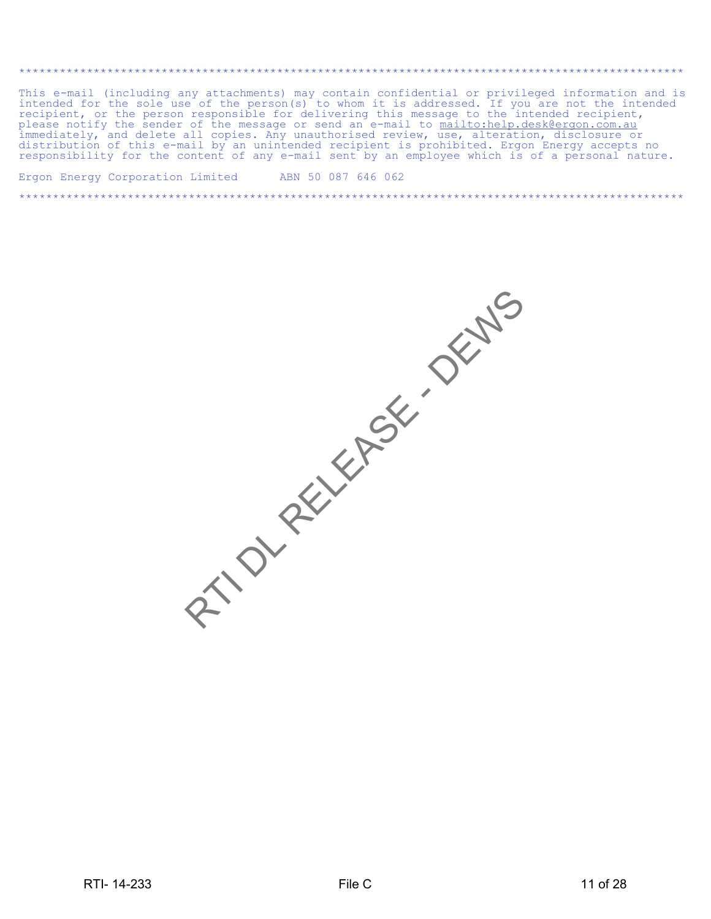\*\*\*\*\*\*\*\*\*\*\*\*\*\*\*\*\*\*\*\*\*\*\*\*\*\*\*\*\*\*\*\*\*\*\*\*\*\*\*\*\*\*\*\*\*\*\*\*\*\*\*\*\*\*\*\*\*\*\*\*\*\*\*\*\*\*\*\*\*\*\*\*\*\*\*\*\*\*\*\*\*\*\*\*\*\*\*\*\*\*\*\*\*\*\*\*\*\* This e-mail (including any attachments) may contain confidential or privileged information and is intended for the sole use of the person(s) to whom it is addressed. If you are not the intended recipient, or the person responsible for delivering this message to the intended recipient, please notify the sender of the message or send an e-mail to <u>mailto:help.desk@ergon.com.au</u> immediately, and delete all copies. Any unauthorised review, use, alteration, disclosure or distribution of this e-mail by an unintended recipient is prohibited. Ergon Energy accepts no responsibility for the content of any e-mail sent by an employee which is of a personal nature.

\*\*\*\*\*\*\*\*\*\*\*\*\*\*\*\*\*\*\*\*\*\*\*\*\*\*\*\*\*\*\*\*\*\*\*\*\*\*\*\*\*\*\*\*\*\*\*\*\*\*\*\*\*\*\*\*\*\*\*\*\*\*\*\*\*\*\*\*\*\*\*\*\*\*\*\*\*\*\*\*\*\*\*\*\*\*\*\*\*\*\*\*\*\*\*\*\*\*

Ergon Energy Corporation Limited ABN 50 087 646 062

RTI- 14-233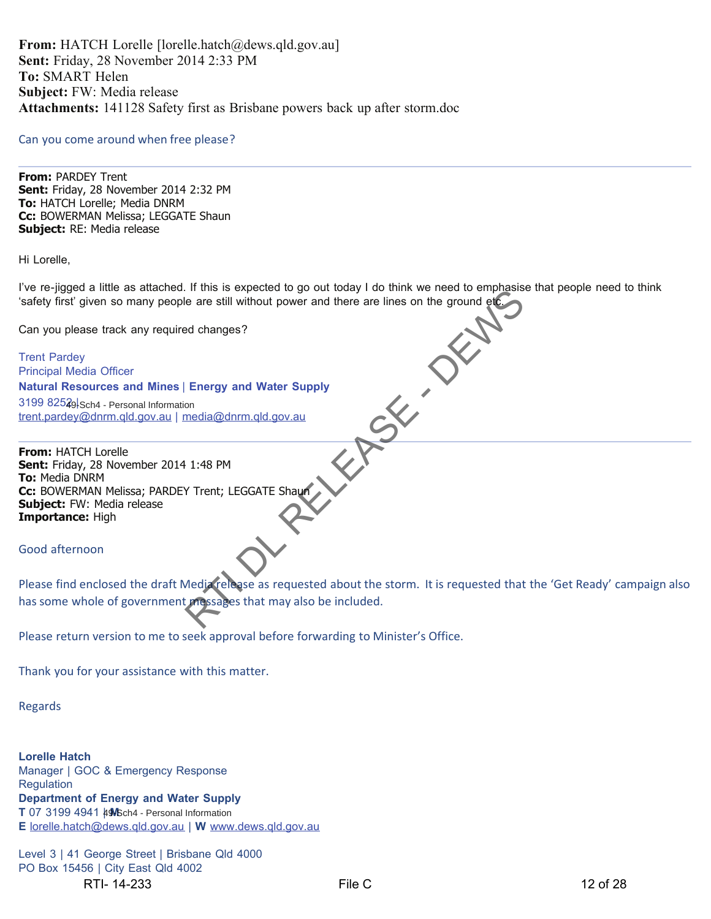**From:** HATCH Lorelle [lorelle.hatch@dews.qld.gov.au] **Sent:** Friday, 28 November 2014 2:33 PM **To:** SMART Helen **Subject:** FW: Media release **Attachments:** 141128 Safety first as Brisbane powers back up after storm.doc

#### Can you come around when free please?

**From:** PARDEY Trent **Sent:** Friday, 28 November 2014 2:32 PM **To:** HATCH Lorelle; Media DNRM **Cc:** BOWERMAN Melissa; LEGGATE Shaun **Subject:** RE: Media release

Hi Lorelle,

I've re-jigged a little as attached. If this is expected to go out today I do think we need to emphasise that people need to think 'safety first' given so many people are still without power and there are lines on the ground etc.

Can you please track any required changes?

Trent Pardey Principal Media Officer **Natural Resources and Mines** | **Energy and Water Supply** 3199 8252<sub>9</sub> trent.pardey@dnrm.qld.gov.au | media@dnrm.qld.gov.au 49-Sch4 - Personal Information

**From:** HATCH Lorelle **Sent:** Friday, 28 November 2014 1:48 PM **To:** Media DNRM **Cc:** BOWERMAN Melissa; PARDEY Trent; LEGGATE Shaun **Subject:** FW: Media release **Importance:** High Relia Column Column Column Column Column Column Column Column Column Column Column Column Column Column Column Column Column Column Column Column Column Column Column Column Column Column Column Column Column Column Column

Good afternoon

Please find enclosed the draft Media release as requested about the storm. It is requested that the 'Get Ready' campaign also has some whole of government messages that may also be included.

Please return version to me to seek approval before forwarding to Minister's Office.

Thank you for your assistance with this matter.

Regards

**Lorelle Hatch** Manager | GOC & Emergency Response **Regulation Department of Energy and Water Supply** T 07 3199 4941  $\frac{1}{4}$ **M**Sch4 - Personal Information **E** lorelle.hatch@dews.qld.gov.au | **W** www.dews.qld.gov.au

Level 3 | 41 George Street | Brisbane Qld 4000 PO Box 15456 | City East Qld 4002 RTI-14-233 **File C** File C 28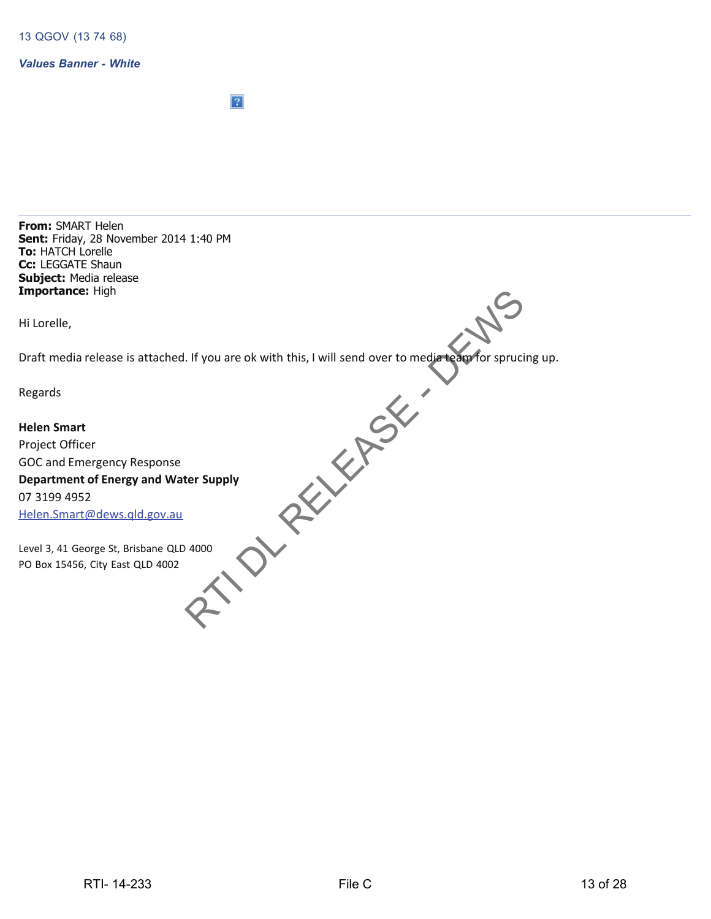*Values Banner - White*

 $|2|$ 

**From:** SMART Helen **Sent:** Friday, 28 November 2014 1:40 PM **To:** HATCH Lorelle **Cc:** LEGGATE Shaun **Subject:** Media release **Importance:** High

Hi Lorelle,

Draft media release is attached. If you are ok with this, I will send over to media team for sprucing up.

Regards

**Helen Smart** Project Officer GOC and Emergency Response **Department of Energy and Water Supply** 07 3199 4952 Helen.Smart@dews.qld.gov.au Prope St, Brisbane QLD 4002<br>
RTI- 14-233<br>
RTI- 14-233<br>
RTI- 14-233<br>
File C<br>
13 of 28

Level 3, 41 George St, Brisbane QLD 4000 PO Box 15456, City East QLD 4002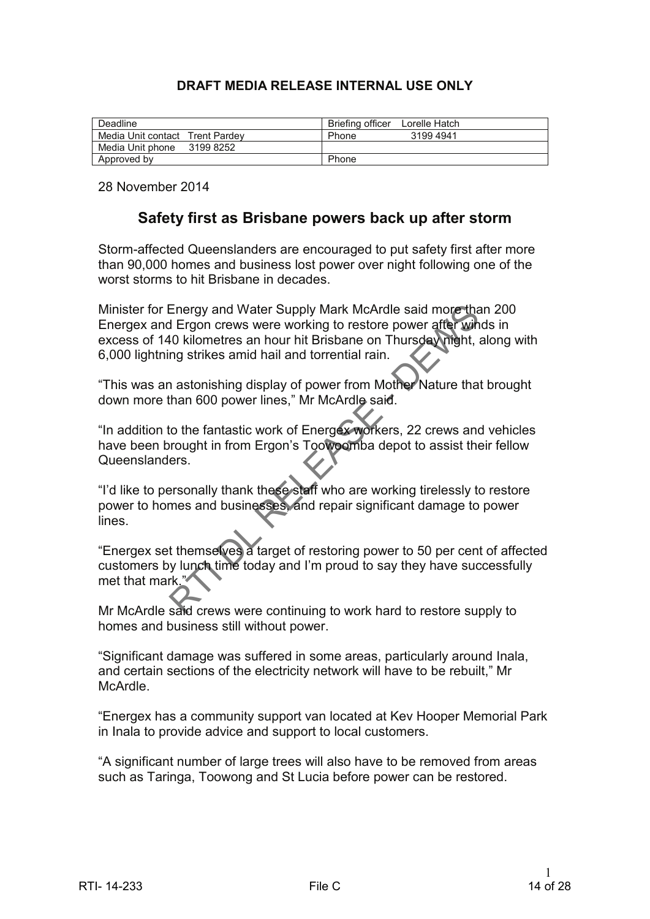# **DRAFT MEDIA RELEASE INTERNAL USE ONLY**

| Deadline                        | <b>Briefing officer</b><br>Lorelle Hatch |
|---------------------------------|------------------------------------------|
| Media Unit contact Trent Pardey | 3199 4941<br>Phone                       |
| Media Unit phone<br>3199 8252   |                                          |
| Approved by                     | Phone                                    |

28 November 2014

# **Safety first as Brisbane powers back up after storm**

Storm-affected Queenslanders are encouraged to put safety first after more than 90,000 homes and business lost power over night following one of the worst storms to hit Brisbane in decades.

Minister for Energy and Water Supply Mark McArdle said more than 200 Energex and Ergon crews were working to restore power after winds in excess of 140 kilometres an hour hit Brisbane on Thursday night, along with 6,000 lightning strikes amid hail and torrential rain. Minister for Energy and Water Supply Mark McAride said more than the comparison of the basis of the Distance of the Union texts of the Nucleon Hard B. The second Hard Ministers an hour hit Brisbane on Thursday (Mght, alon

"This was an astonishing display of power from Mother Nature that brought down more than 600 power lines," Mr McArdle said.

"In addition to the fantastic work of Energex workers, 22 crews and vehicles have been brought in from Ergon's Toowoomba depot to assist their fellow Queenslanders.

"I'd like to personally thank these staff who are working tirelessly to restore power to homes and businesses, and repair significant damage to power lines.

"Energex set themselves a target of restoring power to 50 per cent of affected customers by lunch time today and I'm proud to say they have successfully met that mark."

Mr McArdle said crews were continuing to work hard to restore supply to homes and business still without power.

"Significant damage was suffered in some areas, particularly around Inala, and certain sections of the electricity network will have to be rebuilt," Mr McArdle.

"Energex has a community support van located at Kev Hooper Memorial Park in Inala to provide advice and support to local customers.

"A significant number of large trees will also have to be removed from areas such as Taringa, Toowong and St Lucia before power can be restored.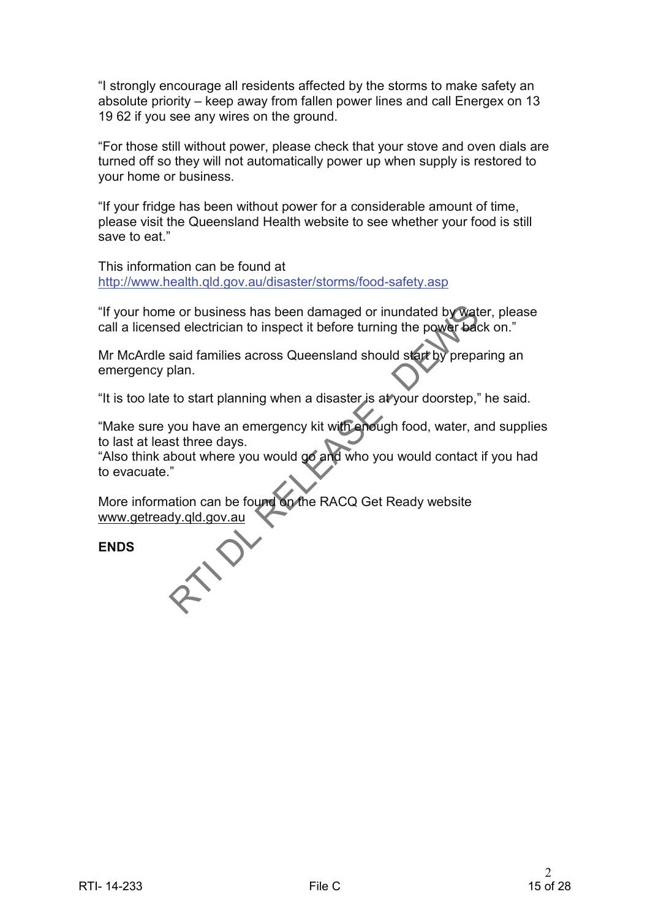"I strongly encourage all residents affected by the storms to make safety an absolute priority – keep away from fallen power lines and call Energex on 13 19 62 if you see any wires on the ground.

"For those still without power, please check that your stove and oven dials are turned off so they will not automatically power up when supply is restored to your home or business.

"If your fridge has been without power for a considerable amount of time, please visit the Queensland Health website to see whether your food is still save to eat."

This information can be found at http://www.health.qld.gov.au/disaster/storms/food-safety.asp

"If your home or business has been damaged or inundated by water, please call a licensed electrician to inspect it before turning the power back on."

Mr McArdle said families across Queensland should start by preparing an emergency plan.

"It is too late to start planning when a disaster is at your doorstep," he said.

"Make sure you have an emergency kit with enough food, water, and supplies to last at least three days.

"Also think about where you would go and who you would contact if you had to evacuate." The your home or business has been damaged or inundated by Water, please<br>call a licensed electrician to inspect it before turning the power beck on."<br>Mr McArdle said families across Queensland should start by preparing an

More information can be found on the RACQ Get Ready website www.getready.qld.gov.au

**ENDS**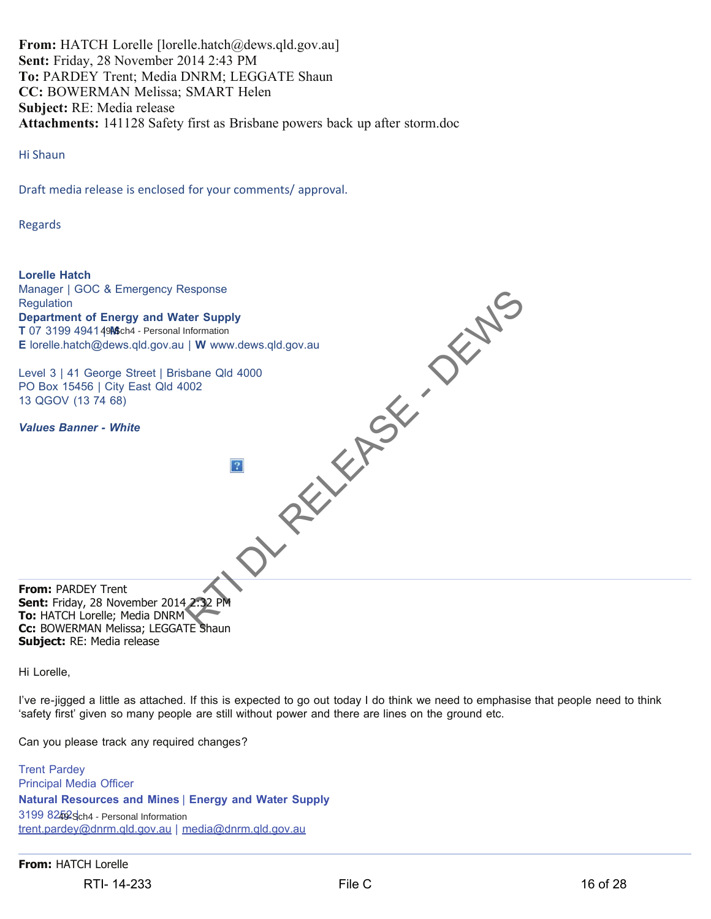**From:** HATCH Lorelle [lorelle.hatch@dews.qld.gov.au] **Sent:** Friday, 28 November 2014 2:43 PM **To:** PARDEY Trent; Media DNRM; LEGGATE Shaun **CC:** BOWERMAN Melissa; SMART Helen **Subject:** RE: Media release **Attachments:** 141128 Safety first as Brisbane powers back up after storm.doc

Hi Shaun

Draft media release is enclosed for your comments/ approval.

Regards



Hi Lorelle,

I've re-jigged a little as attached. If this is expected to go out today I do think we need to emphasise that people need to think 'safety first' given so many people are still without power and there are lines on the ground etc.

Can you please track any required changes?

Trent Pardey Principal Media Officer **Natural Resources and Mines** | **Energy and Water Supply**

3199 8252 Sch4 - Personal Information trent.pardey@dnrm.qld.gov.au | media@dnrm.qld.gov.au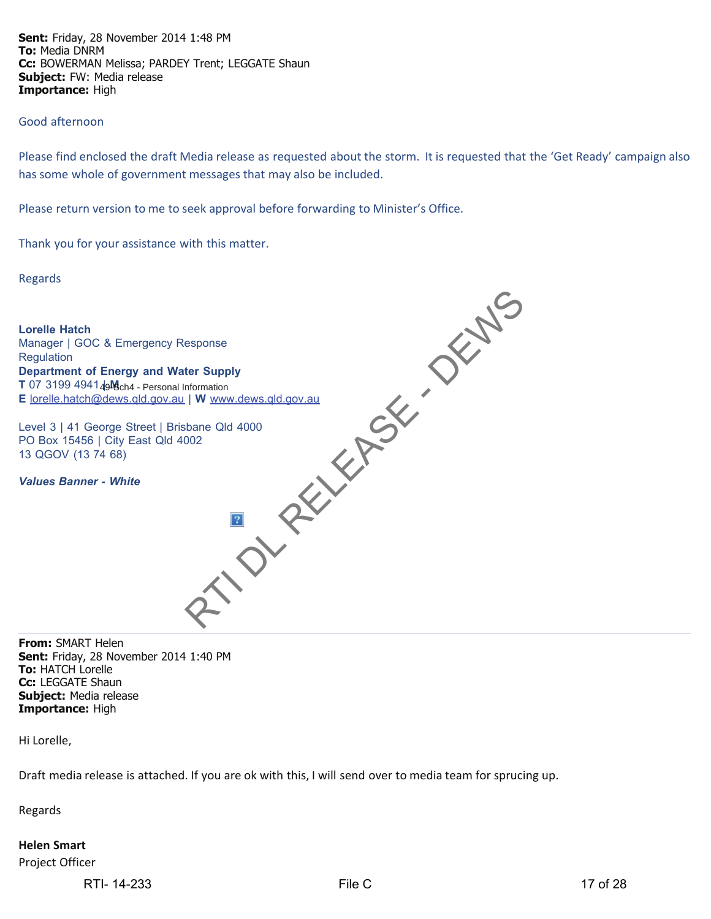**Sent:** Friday, 28 November 2014 1:48 PM **To:** Media DNRM **Cc:** BOWERMAN Melissa; PARDEY Trent; LEGGATE Shaun **Subject:** FW: Media release **Importance:** High

#### Good afternoon

Please find enclosed the draft Media release as requested about the storm. It is requested that the 'Get Ready' campaign also has some whole of government messages that may also be included.

Please return version to me to seek approval before forwarding to Minister's Office.

Thank you for your assistance with this matter.

Regards



**From:** SMART Helen **Sent:** Friday, 28 November 2014 1:40 PM **To:** HATCH Lorelle **Cc:** LEGGATE Shaun **Subject:** Media release **Importance:** High

Hi Lorelle,

Draft media release is attached. If you are ok with this, I will send over to media team for sprucing up.

Regards

## **Helen Smart**

Project Officer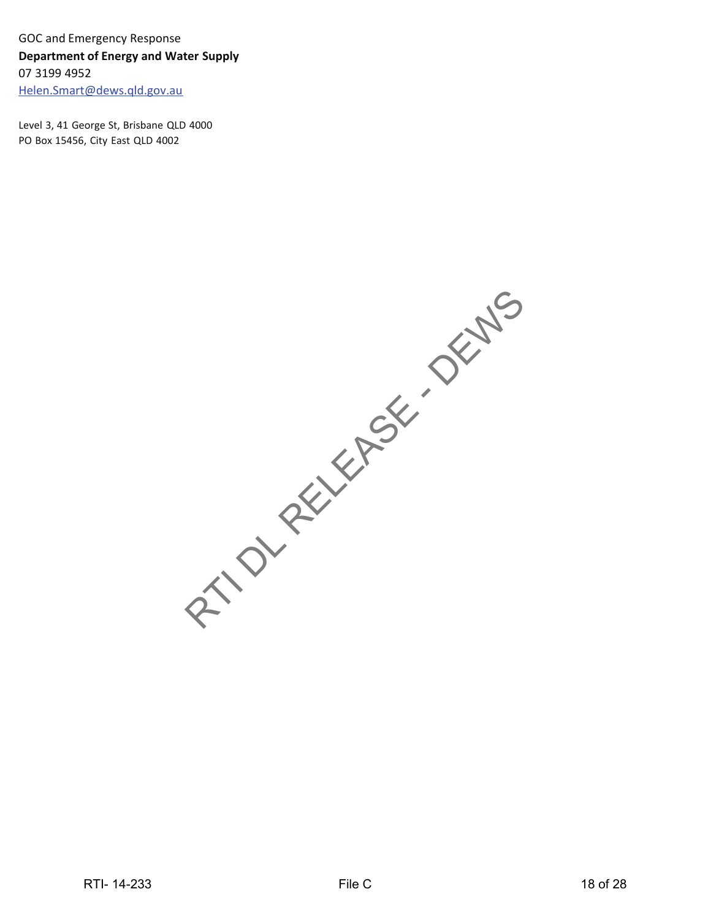GOC and Emergency Response **Department of Energy and Water Supply** 07 3199 4952 Helen.Smart@dews.qld.gov.au

Level 3, 41 George St, Brisbane QLD 4000 PO Box 15456, City East QLD 4002

RTI- 14-233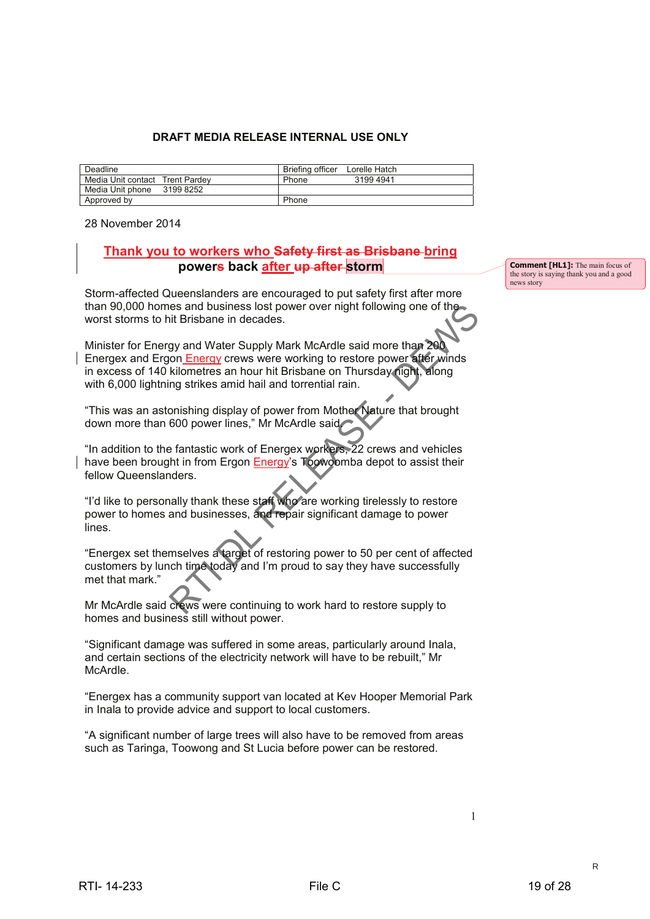#### **DRAFT MEDIA RELEASE INTERNAL USE ONLY**

| Deadline                        |           | Briefing officer | Lorelle Hatch |
|---------------------------------|-----------|------------------|---------------|
| Media Unit contact Trent Pardey |           | Phone            | 31994941      |
| Media Unit phone                | 3199 8252 |                  |               |
| Approved by                     |           | Phone            |               |

28 November 2014

## **Thank you to workers who Safety first as Brisbane bring powers back after up after storm**

Storm-affected Queenslanders are encouraged to put safety first after more than 90,000 homes and business lost power over night following one of the worst storms to hit Brisbane in decades.

Minister for Energy and Water Supply Mark McArdle said more than 200 Energex and Ergon Energy crews were working to restore power after winds in excess of 140 kilometres an hour hit Brisbane on Thursday night, along with 6,000 lightning strikes amid hail and torrential rain. es and business lost power over night following one of the<br>int Brisbane in decades.<br>gy and Water Supply Mark McArdle said more than 200<br>on Energy crews were working to restore power after winds<br>kilometres an hour hit Brisb

"This was an astonishing display of power from Mother Nature that brought down more than 600 power lines," Mr McArdle said.

"In addition to the fantastic work of Energex workers, 22 crews and vehicles have been brought in from Ergon Energy's Toowoomba depot to assist their fellow Queenslanders.

"I'd like to personally thank these staff who are working tirelessly to restore power to homes and businesses, and repair significant damage to power lines.

"Energex set themselves a target of restoring power to 50 per cent of affected customers by lunch time today and I'm proud to say they have successfully met that mark."

Mr McArdle said crews were continuing to work hard to restore supply to homes and business still without power.

"Significant damage was suffered in some areas, particularly around Inala, and certain sections of the electricity network will have to be rebuilt," Mr McArdle.

"Energex has a community support van located at Kev Hooper Memorial Park in Inala to provide advice and support to local customers.

"A significant number of large trees will also have to be removed from areas such as Taringa, Toowong and St Lucia before power can be restored.

**Comment [HL1]:** The main focus of the story is saying thank you and a good news story

R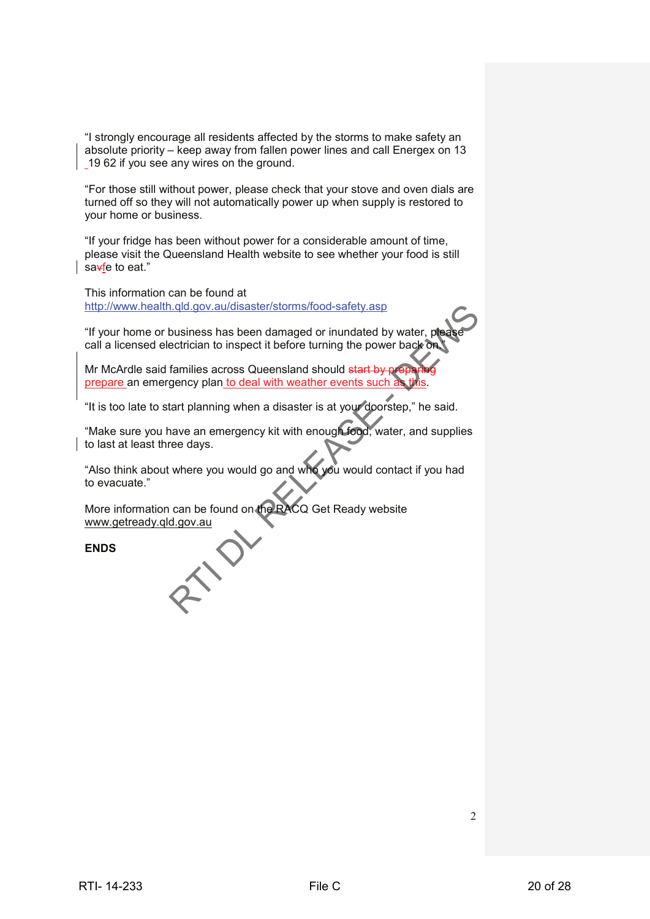"I strongly encourage all residents affected by the storms to make safety an absolute priority – keep away from fallen power lines and call Energex on 13 19 62 if you see any wires on the ground.

"For those still without power, please check that your stove and oven dials are turned off so they will not automatically power up when supply is restored to your home or business.

"If your fridge has been without power for a considerable amount of time, please visit the Queensland Health website to see whether your food is still sa<del>v</del>fe to eat."

This information can be found at http://www.health.qld.gov.au/disaster/storms/food-safety.asp

"If your home or business has been damaged or inundated by water, p call a licensed electrician to inspect it before turning the power back or

Mr McArdle said families across Queensland should start by prepare an emergency plan to deal with weather events such

"It is too late to start planning when a disaster is at your doorstep," he said.

"Make sure you have an emergency kit with enough food, water, and supplies to last at least three days. Ethical one abused and deviate internal coordinated by water, phosphere can be a present band one can be a contrasted by water, phosphere can be can be a contrasted by the Monte C can contrast a strong Contents of the the

"Also think about where you would go and who you would contact if you had to evacuate."

More information can be found on the RACQ Get Ready website www.getready.qld.gov.au

**ENDS**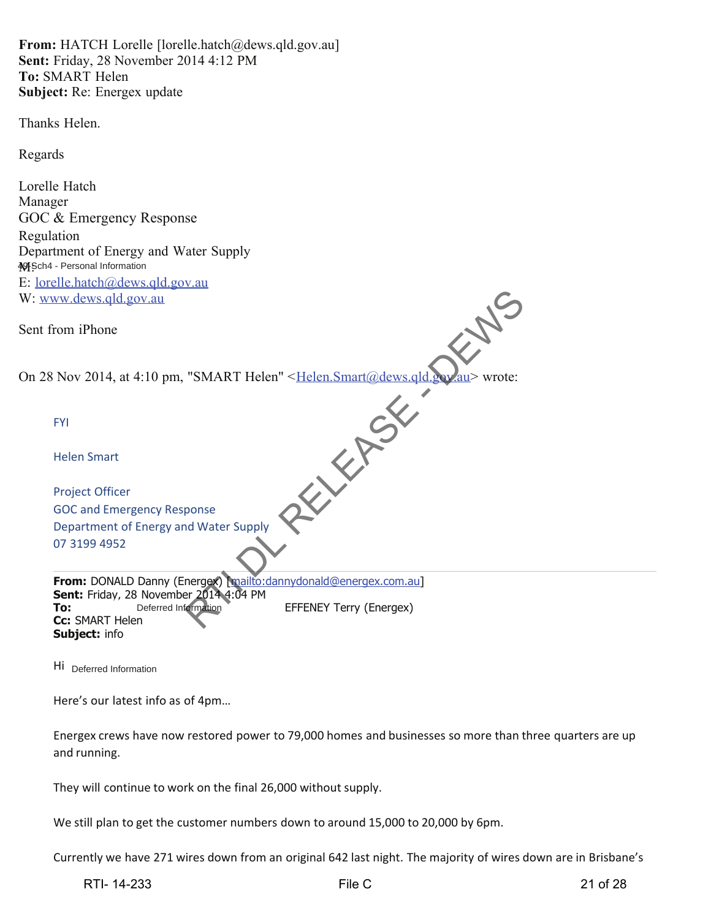**From:** HATCH Lorelle [lorelle.hatch@dews.qld.gov.au] **Sent:** Friday, 28 November 2014 4:12 PM **To:** SMART Helen **Subject:** Re: Energex update

Thanks Helen.

Regards

Lorelle Hatch Manager GOC & Emergency Response Regulation Department of Energy and Water Supply **X**Sch4 - Personal Information E: lorelle.hatch@dews.qld.gov.au W: www.dews.qld.gov.au

Sent from iPhone

Sent from iPhone<br>On 28 Nov 2014, at 4:10 pm, "SMART Helen" <Helen.Smart@dews.qld.gov.au> wrote:

| www.dews.qld.gov.au                                                                                         |                                |
|-------------------------------------------------------------------------------------------------------------|--------------------------------|
| t from iPhone                                                                                               |                                |
| 28 Nov 2014, at 4:10 pm, "SMART Helen" <helen.smart@dews.qld< td=""><td>wrote:</td></helen.smart@dews.qld<> | wrote:                         |
| <b>FYI</b>                                                                                                  |                                |
| <b>Helen Smart</b>                                                                                          |                                |
| <b>Project Officer</b>                                                                                      |                                |
| <b>GOC and Emergency Response</b>                                                                           |                                |
| Department of Energy and Water Supply                                                                       |                                |
| 07 3199 4952                                                                                                |                                |
| From: DONALD Danny (Energex) mailto:dannydonald@energex.com.au]                                             |                                |
| Sent: Friday, 28 November 2014 4:04 PM                                                                      |                                |
| To:<br>Deferred Information<br><b>Cc:</b> SMART Helen                                                       | <b>EFFENEY Terry (Energex)</b> |
| <b>Subject: info</b>                                                                                        |                                |

Hi Deferred Information

Here's our latest info as of 4pm…

| Energex crews have now restored power to 79,000 homes and businesses so more than three quarters are up |
|---------------------------------------------------------------------------------------------------------|
| and running.                                                                                            |

They will continue to work on the final 26,000 without supply.

We still plan to get the customer numbers down to around 15,000 to 20,000 by 6pm.

Currently we have 271 wires down from an original 642 last night. The majority of wires down are in Brisbane's

RTI- 14-233 File C 21 of 28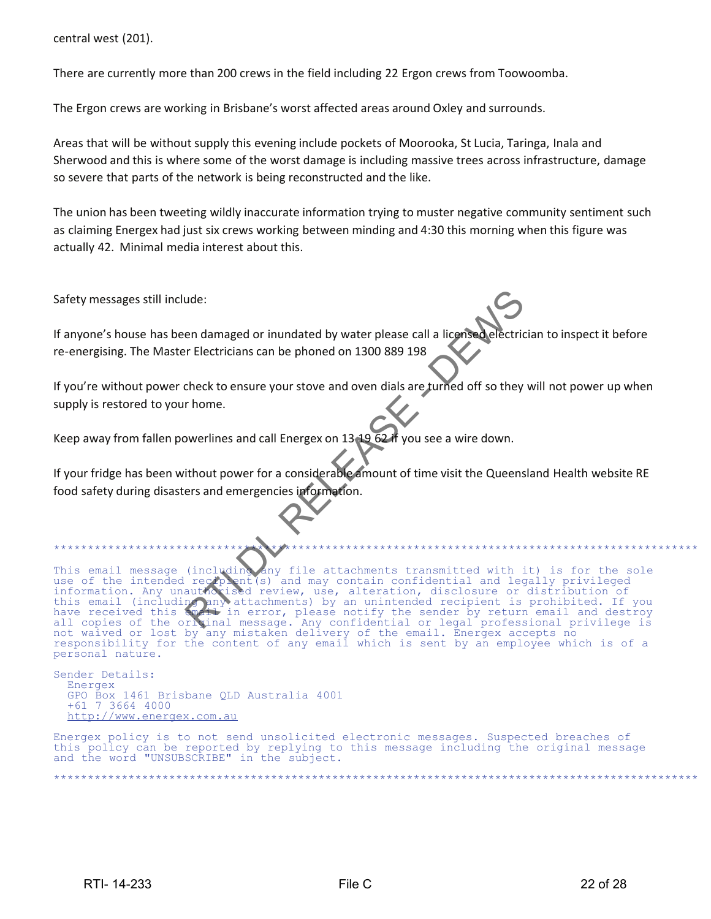central west (201).

There are currently more than 200 crews in the field including 22 Ergon crews from Toowoomba.

The Ergon crews are working in Brisbane's worst affected areas around Oxley and surrounds.

Areas that will be without supply this evening include pockets of Moorooka, St Lucia, Taringa, Inala and Sherwood and this is where some of the worst damage is including massive trees across infrastructure, damage so severe that parts of the network is being reconstructed and the like.

The union has been tweeting wildly inaccurate information trying to muster negative community sentiment such as claiming Energex had just six crews working between minding and 4:30 this morning when this figure was actually 42. Minimal media interest about this.

Safety messages still include:

If anyone's house has been damaged or inundated by water please call a licensed electrician to inspect it before re-energising. The Master Electricians can be phoned on 1300 889 198

If you're without power check to ensure your stove and oven dials are turned off so they will not power up when supply is restored to your home.

Keep away from fallen powerlines and call Energex on 13 19 62 if you see a wire down.

If your fridge has been without power for a considerable amount of time visit the Queensland Health website RE food safety during disasters and emergencies information.

This email message (including any file attachments transmitted with it) is for the sole use of the intended recipient(s) and may contain confidential and legally privileged information. Any unauthorised review, use, alteration, disclosure or distribution of this email (including any attachments) by an unintended recipient is prohibited. If you have received this email in error, please notify the sender by return email and destroy in error, please notify the sender by return email and destroy all copies of the original message. Any confidential or legal professional privilege is not waived or lost by any mistaken delivery of the email. Energex accepts no responsibility for the content of any email which is sent by an employee which is of a personal nature. messages still include:<br>
one's house has been damaged or inundated by water please call a license<br>
residing. The Master Electricians can be phoned on 1300 889 198<br>
residing the Master Electricians can be phoned on 1300 889

Sender Details: Energex GPO Box 1461 Brisbane QLD Australia 4001 +61 7 3664 4000 http://www.energex.com.au

Energex policy is to not send unsolicited electronic messages. Suspected breaches of this policy can be reported by replying to this message including the original message and the word "UNSUBSCRIBE" in the subject.

\*\*\*\*\*\*\*\*\*\*\*\*\*\*\*\*\*\*\*\*\*\*\*\*\*\*\*\*\*\*\*\*\*\*\*\*\*\*\*\*\*\*\*\*\*\*\*\*\*\*\*\*\*\*\*\*\*\*\*\*\*\*\*\*\*\*\*\*\*\*\*\*\*\*\*\*\*\*\*\*\*\*\*\*\*\*\*\*\*\*\*\*\*\*\*

\*\*\*\*\*\*\*\*\*\*\*\*\*\*\*\*\*\*\*\*\*\*\*\*\*\*\*\*\*\*\*\*\*\*\*\*\*\*\*\*\*\*\*\*\*\*\*\*\*\*\*\*\*\*\*\*\*\*\*\*\*\*\*\*\*\*\*\*\*\*\*\*\*\*\*\*\*\*\*\*\*\*\*\*\*\*\*\*\*\*\*\*\*\*\*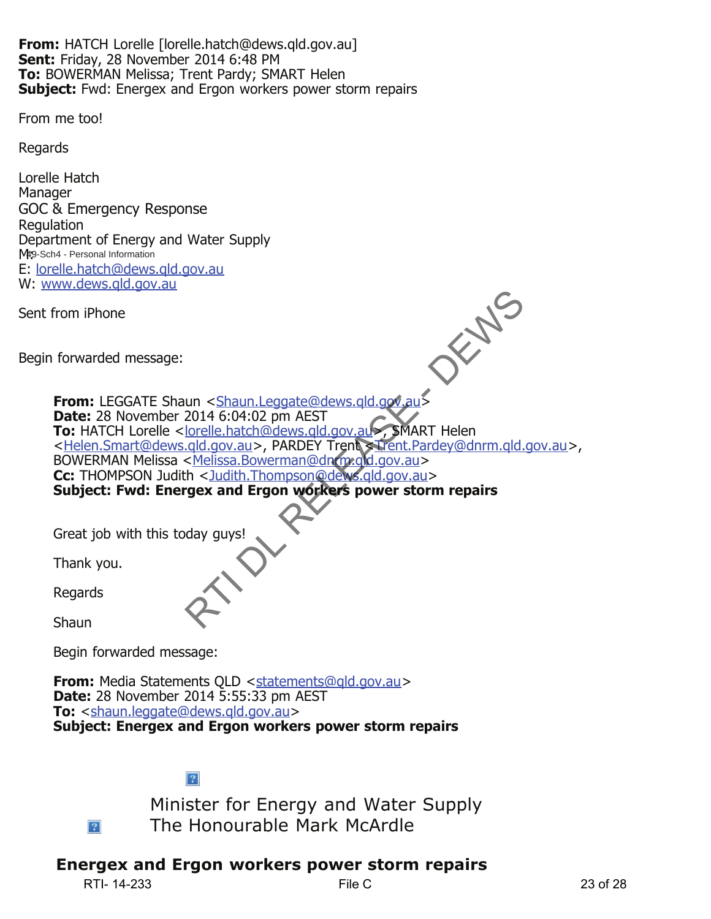**From:** HATCH Lorelle [lorelle.hatch@dews.qld.gov.au] **Sent:** Friday, 28 November 2014 6:48 PM **To:** BOWERMAN Melissa; Trent Pardy; SMART Helen **Subject:** Fwd: Energex and Ergon workers power storm repairs

From me too!

Regards

Lorelle Hatch **Manager** GOC & Emergency Response **Regulation** Department of Energy and Water Supply M<sub>19</sub>-Sch4 - Personal Information E: lorelle.hatch@dews.qld.gov.au W: www.dews.qld.gov.au

Sent from iPhone

Begin forwarded message:

**From:** LEGGATE Shaun < Shaun.Leggate@dews.qld.gov.au> **Date:** 28 November 2014 6:04:02 pm AEST **To:** HATCH Lorelle <<u>lorelle.hatch@dews.qld.gov.au</u>>, SMART Helen <Helen.Smart@dews.gld.gov.au>, PARDEY Trent <Trent.Pardey@dnrm.gld.gov.au>, BOWERMAN Melissa <Melissa.Bowerman@dnrm.gld.gov.au> **Cc:** THOMPSON Judith < Judith.Thompson@dews.qld.gov.au> **Subject: Fwd: Energex and Ergon workers power storm repairs**  un <Shaun.Leggate@dews.qld.gov.au><br>2014 6:04:02 pm AEST<br><u>Ionelle.hatch@dews.qld.gov.au></u><br><u>SMART</u> Helen<br><u>cylelissa.Bowerman@dn(pxgld.gov.au</u>><br>th <<u>Judith.Thompson@dews.qld.gov.au</u>><br>ge**x and Ergon workers power storm repairs** 

Great job with this today guys!

Thank you.

Regards

Shaun

Begin forwarded message:

**From:** Media Statements QLD <statements@qld.gov.au> **Date:** 28 November 2014 5:55:33 pm AEST **To:** <shaun.leggate@dews.gld.gov.au> **Subject: Energex and Ergon workers power storm repairs** 

 $|2|$ 



Minister for Energy and Water Supply The Honourable Mark McArdle

# **Energex and Ergon workers power storm repairs**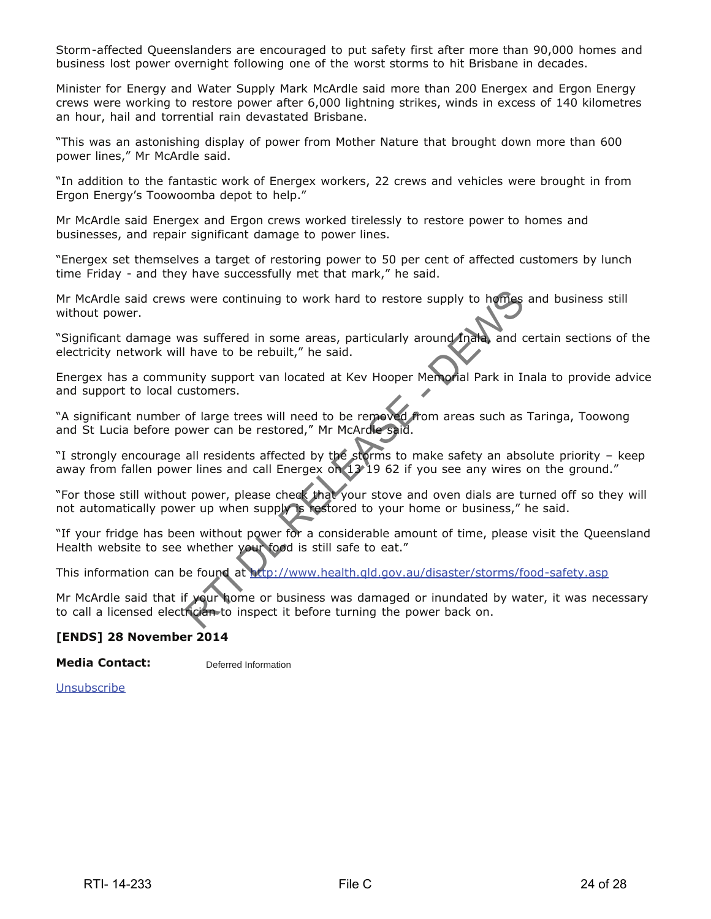Storm-affected Queenslanders are encouraged to put safety first after more than 90,000 homes and business lost power overnight following one of the worst storms to hit Brisbane in decades.

Minister for Energy and Water Supply Mark McArdle said more than 200 Energex and Ergon Energy crews were working to restore power after 6,000 lightning strikes, winds in excess of 140 kilometres an hour, hail and torrential rain devastated Brisbane.

"This was an astonishing display of power from Mother Nature that brought down more than 600 power lines," Mr McArdle said.

"In addition to the fantastic work of Energex workers, 22 crews and vehicles were brought in from Ergon Energy's Toowoomba depot to help."

Mr McArdle said Energex and Ergon crews worked tirelessly to restore power to homes and businesses, and repair significant damage to power lines.

"Energex set themselves a target of restoring power to 50 per cent of affected customers by lunch time Friday - and they have successfully met that mark," he said.

Mr McArdle said crews were continuing to work hard to restore supply to homes and business still without power.

"Significant damage was suffered in some areas, particularly around Inala, and certain sections of the electricity network will have to be rebuilt," he said.

Energex has a community support van located at Kev Hooper Memorial Park in Inala to provide advice and support to local customers.

"A significant number of large trees will need to be removed from areas such as Taringa, Toowong and St Lucia before power can be restored," Mr McArdle said. Relate to the proper state of the protections were continuing to work hard to restore supply to homes as suffered in some areas, particularly around mated and chave to be repult," he said.<br>
Inity support van located at Kev

"I strongly encourage all residents affected by the storms to make safety an absolute priority – keep away from fallen power lines and call Energex on 13 19 62 if you see any wires on the ground."

"For those still without power, please check that your stove and oven dials are turned off so they will not automatically power up when supply is restored to your home or business," he said.

"If your fridge has been without power for a considerable amount of time, please visit the Queensland Health website to see whether your food is still safe to eat."

This information can be found at http://www.health.qld.gov.au/disaster/storms/food-safety.asp

Mr McArdle said that if your home or business was damaged or inundated by water, it was necessary to call a licensed electrician to inspect it before turning the power back on.

#### **[ENDS] 28 November 2014**

#### **Media Contact:**  Deferred Information

**Unsubscribe**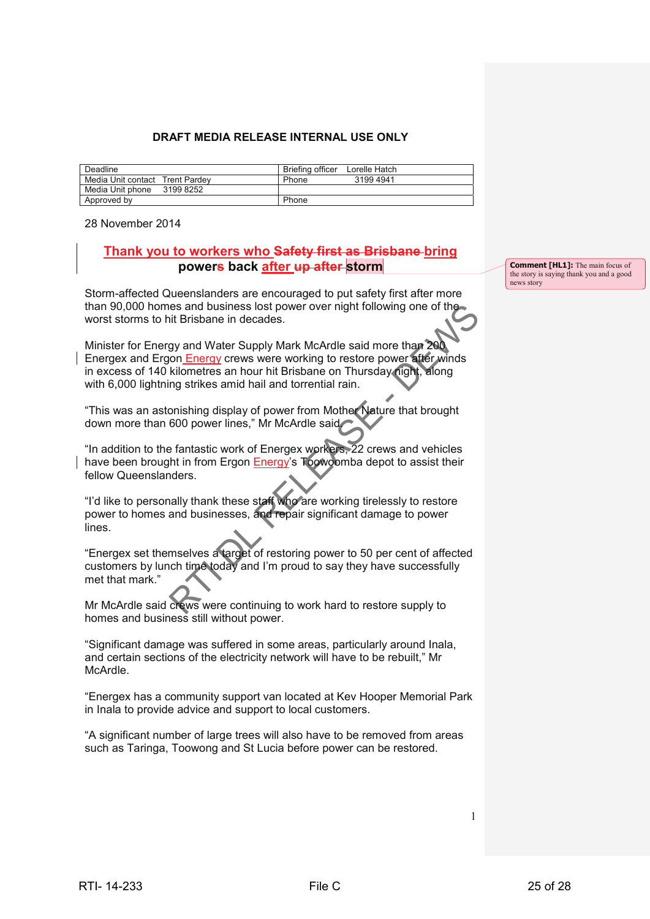#### **DRAFT MEDIA RELEASE INTERNAL USE ONLY**

| Deadline                        |           | Briefing officer | Lorelle Hatch |
|---------------------------------|-----------|------------------|---------------|
| Media Unit contact Trent Pardey |           | Phone            | 31994941      |
| Media Unit phone                | 3199 8252 |                  |               |
| Approved by                     |           | Phone            |               |

28 November 2014

## **Thank you to workers who Safety first as Brisbane bring powers back after up after storm**

Storm-affected Queenslanders are encouraged to put safety first after more than 90,000 homes and business lost power over night following one of the worst storms to hit Brisbane in decades.

Minister for Energy and Water Supply Mark McArdle said more than 200 Energex and Ergon Energy crews were working to restore power after winds in excess of 140 kilometres an hour hit Brisbane on Thursday night, along with 6,000 lightning strikes amid hail and torrential rain. than 80,000 homes and business lost power over night following one of the<br>worst stoms to hit Brisbane in decades.<br>
Minister for Energy and Woter Supply Mark MoArdel said more than 200<br>
Energex and Engin Energy crews were w

"This was an astonishing display of power from Mother Nature that brought down more than 600 power lines," Mr McArdle said.

"In addition to the fantastic work of Energex workers, 22 crews and vehicles have been brought in from Ergon Energy's Toowoomba depot to assist their fellow Queenslanders.

"I'd like to personally thank these staff who are working tirelessly to restore power to homes and businesses, and repair significant damage to power lines.

"Energex set themselves a target of restoring power to 50 per cent of affected customers by lunch time today and I'm proud to say they have successfully met that mark."

Mr McArdle said crews were continuing to work hard to restore supply to homes and business still without power.

"Significant damage was suffered in some areas, particularly around Inala, and certain sections of the electricity network will have to be rebuilt," Mr McArdle.

"Energex has a community support van located at Kev Hooper Memorial Park in Inala to provide advice and support to local customers.

"A significant number of large trees will also have to be removed from areas such as Taringa, Toowong and St Lucia before power can be restored.

**Comment [HL1]:** The main focus of the story is saying thank you and a good news story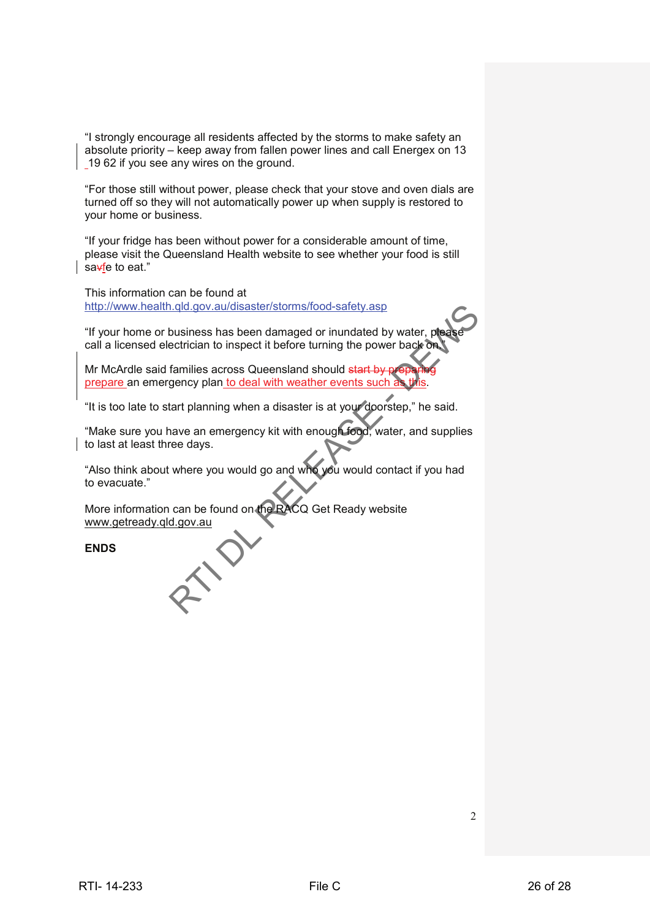"I strongly encourage all residents affected by the storms to make safety an absolute priority – keep away from fallen power lines and call Energex on 13 19 62 if you see any wires on the ground.

"For those still without power, please check that your stove and oven dials are turned off so they will not automatically power up when supply is restored to your home or business.

"If your fridge has been without power for a considerable amount of time, please visit the Queensland Health website to see whether your food is still sa<del>v</del>fe to eat."

This information can be found at http://www.health.qld.gov.au/disaster/storms/food-safety.asp

"If your home or business has been damaged or inundated by water, p call a licensed electrician to inspect it before turning the power back or

Mr McArdle said families across Queensland should start by prepare an emergency plan to deal with weather events such

"It is too late to start planning when a disaster is at your doorstep," he said.

"Make sure you have an emergency kit with enough food, water, and supplies to last at least three days. Ethical median and distribution and the managed or in and also water, please<br>
The variance of business has been damaged or in and also water, please<br>
Cal is licensed decirican to haped the bord turning the power back<br>
or t

"Also think about where you would go and who you would contact if you had to evacuate."

More information can be found on the RACQ Get Ready website www.getready.qld.gov.au

**ENDS**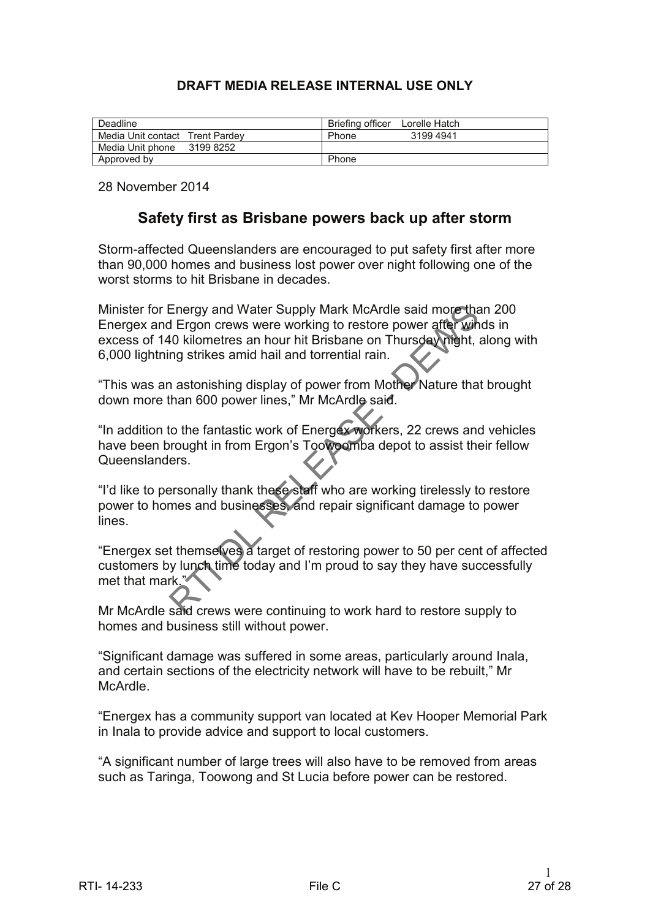# **DRAFT MEDIA RELEASE INTERNAL USE ONLY**

| Deadline                        | Briefing officer<br>Lorelle Hatch |
|---------------------------------|-----------------------------------|
| Media Unit contact Trent Pardey | 3199 4941<br>Phone                |
| Media Unit phone<br>3199 8252   |                                   |
| Approved by                     | Phone                             |

28 November 2014

# **Safety first as Brisbane powers back up after storm**

Storm-affected Queenslanders are encouraged to put safety first after more than 90,000 homes and business lost power over night following one of the worst storms to hit Brisbane in decades.

Minister for Energy and Water Supply Mark McArdle said more than 200 Energex and Ergon crews were working to restore power after winds in excess of 140 kilometres an hour hit Brisbane on Thursday night, along with 6,000 lightning strikes amid hail and torrential rain. Minister for Energy and Water Supply Mark McAride said more than the comparison of the basis of the Distance of the Union texts of 140 kinemeters an hour hit Brisbane on Thursday (mght).<br>
Solo iightning strikes a mid in h

"This was an astonishing display of power from Mother Nature that brought down more than 600 power lines," Mr McArdle said.

"In addition to the fantastic work of Energex workers, 22 crews and vehicles have been brought in from Ergon's Toowoomba depot to assist their fellow Queenslanders.

"I'd like to personally thank these staff who are working tirelessly to restore power to homes and businesses, and repair significant damage to power lines.

"Energex set themselves a target of restoring power to 50 per cent of affected customers by lunch time today and I'm proud to say they have successfully met that mark."

Mr McArdle said crews were continuing to work hard to restore supply to homes and business still without power.

"Significant damage was suffered in some areas, particularly around Inala, and certain sections of the electricity network will have to be rebuilt," Mr McArdle.

"Energex has a community support van located at Kev Hooper Memorial Park in Inala to provide advice and support to local customers.

"A significant number of large trees will also have to be removed from areas such as Taringa, Toowong and St Lucia before power can be restored.